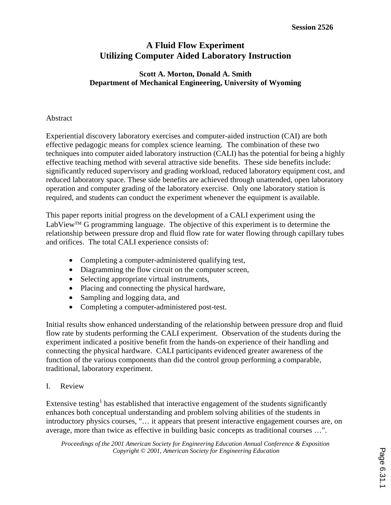# **A Fluid Flow Experiment Utilizing Computer Aided Laboratory Instruction**

## **Scott A. Morton, Donald A. Smith Department of Mechanical Engineering, University of Wyoming**

### Abstract

Experiential discovery laboratory exercises and computer-aided instruction (CAI) are both effective pedagogic means for complex science learning. The combination of these two techniques into computer aided laboratory instruction (CALI) has the potential for being a highly effective teaching method with several attractive side benefits. These side benefits include: significantly reduced supervisory and grading workload, reduced laboratory equipment cost, and reduced laboratory space. These side benefits are achieved through unattended, open laboratory operation and computer grading of the laboratory exercise. Only one laboratory station is required, and students can conduct the experiment whenever the equipment is available.

This paper reports initial progress on the development of a CALI experiment using the LabView<sup>TM</sup> G programming language. The objective of this experiment is to determine the relationship between pressure drop and fluid flow rate for water flowing through capillary tubes and orifices. The total CALI experience consists of:

- Completing a computer-administered qualifying test,
- Diagramming the flow circuit on the computer screen,
- Selecting appropriate virtual instruments,
- Placing and connecting the physical hardware,
- Sampling and logging data, and
- Completing a computer-administered post-test.

Initial results show enhanced understanding of the relationship between pressure drop and fluid flow rate by students performing the CALI experiment. Observation of the students during the experiment indicated a positive benefit from the hands-on experience of their handling and connecting the physical hardware. CALI participants evidenced greater awareness of the function of the various components than did the control group performing a comparable, traditional, laboratory experiment.

I. Review

Extensive testing<sup>1</sup> has established that interactive engagement of the students significantly enhances both conceptual understanding and problem solving abilities of the students in introductory physics courses, "… it appears that present interactive engagement courses are, on average, more than twice as effective in building basic concepts as traditional courses …".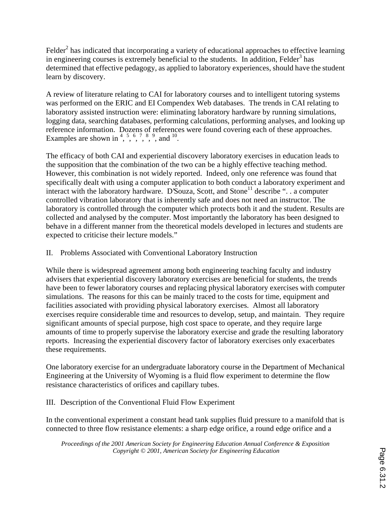Felder<sup>2</sup> has indicated that incorporating a variety of educational approaches to effective learning in engineering courses is extremely beneficial to the students. In addition, Felder<sup>3</sup> has determined that effective pedagogy, as applied to laboratory experiences, should have the student learn by discovery.

A review of literature relating to CAI for laboratory courses and to intelligent tutoring systems was performed on the ERIC and EI Compendex Web databases. The trends in CAI relating to laboratory assisted instruction were: eliminating laboratory hardware by running simulations, logging data, searching databases, performing calculations, performing analyses, and looking up reference information. Dozens of references were found covering each of these approaches. Examples are shown in  $^{4}$ ,  $^{5}$ ,  $^{6}$ ,  $^{7}$ ,  $^{8}$ ,  $^{9}$ , and  $^{10}$ .

The efficacy of both CAI and experiential discovery laboratory exercises in education leads to the supposition that the combination of the two can be a highly effective teaching method. However, this combination is not widely reported. Indeed, only one reference was found that specifically dealt with using a computer application to both conduct a laboratory experiment and interact with the laboratory hardware. D'Souza, Scott, and Stone<sup>11</sup> describe " $\ldots$  a computer controlled vibration laboratory that is inherently safe and does not need an instructor. The laboratory is controlled through the computer which protects both it and the student. Results are collected and analysed by the computer. Most importantly the laboratory has been designed to behave in a different manner from the theoretical models developed in lectures and students are expected to criticise their lecture models."

### II. Problems Associated with Conventional Laboratory Instruction

While there is widespread agreement among both engineering teaching faculty and industry advisers that experiential discovery laboratory exercises are beneficial for students, the trends have been to fewer laboratory courses and replacing physical laboratory exercises with computer simulations. The reasons for this can be mainly traced to the costs for time, equipment and facilities associated with providing physical laboratory exercises. Almost all laboratory exercises require considerable time and resources to develop, setup, and maintain. They require significant amounts of special purpose, high cost space to operate, and they require large amounts of time to properly supervise the laboratory exercise and grade the resulting laboratory reports. Increasing the experiential discovery factor of laboratory exercises only exacerbates these requirements.

One laboratory exercise for an undergraduate laboratory course in the Department of Mechanical Engineering at the University of Wyoming is a fluid flow experiment to determine the flow resistance characteristics of orifices and capillary tubes.

### III. Description of the Conventional Fluid Flow Experiment

In the conventional experiment a constant head tank supplies fluid pressure to a manifold that is connected to three flow resistance elements: a sharp edge orifice, a round edge orifice and a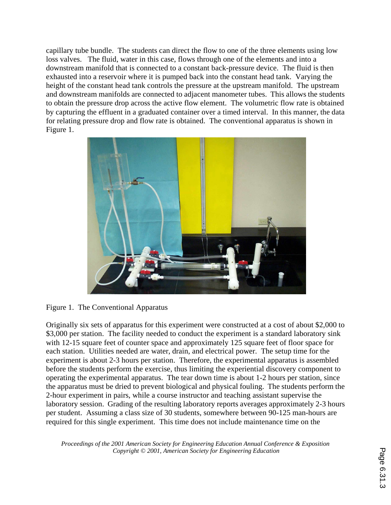capillary tube bundle. The students can direct the flow to one of the three elements using low loss valves. The fluid, water in this case, flows through one of the elements and into a downstream manifold that is connected to a constant back-pressure device. The fluid is then exhausted into a reservoir where it is pumped back into the constant head tank. Varying the height of the constant head tank controls the pressure at the upstream manifold. The upstream and downstream manifolds are connected to adjacent manometer tubes. This allows the students to obtain the pressure drop across the active flow element. The volumetric flow rate is obtained by capturing the effluent in a graduated container over a timed interval. In this manner, the data for relating pressure drop and flow rate is obtained. The conventional apparatus is shown in Figure 1.



Figure 1. The Conventional Apparatus

Originally six sets of apparatus for this experiment were constructed at a cost of about \$2,000 to \$3,000 per station. The facility needed to conduct the experiment is a standard laboratory sink with 12-15 square feet of counter space and approximately 125 square feet of floor space for each station. Utilities needed are water, drain, and electrical power. The setup time for the experiment is about 2-3 hours per station. Therefore, the experimental apparatus is assembled before the students perform the exercise, thus limiting the experiential discovery component to operating the experimental apparatus. The tear down time is about 1-2 hours per station, since the apparatus must be dried to prevent biological and physical fouling. The students perform the 2-hour experiment in pairs, while a course instructor and teaching assistant supervise the laboratory session. Grading of the resulting laboratory reports averages approximately 2-3 hours per student. Assuming a class size of 30 students, somewhere between 90-125 man-hours are required for this single experiment. This time does not include maintenance time on the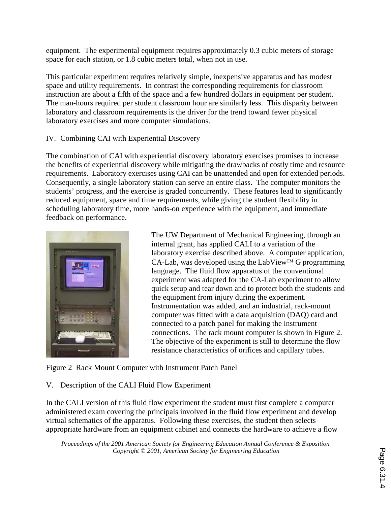equipment. The experimental equipment requires approximately 0.3 cubic meters of storage space for each station, or 1.8 cubic meters total, when not in use.

This particular experiment requires relatively simple, inexpensive apparatus and has modest space and utility requirements. In contrast the corresponding requirements for classroom instruction are about a fifth of the space and a few hundred dollars in equipment per student. The man-hours required per student classroom hour are similarly less. This disparity between laboratory and classroom requirements is the driver for the trend toward fewer physical laboratory exercises and more computer simulations.

## IV. Combining CAI with Experiential Discovery

The combination of CAI with experiential discovery laboratory exercises promises to increase the benefits of experiential discovery while mitigating the drawbacks of costly time and resource requirements. Laboratory exercises using CAI can be unattended and open for extended periods. Consequently, a single laboratory station can serve an entire class. The computer monitors the students' progress, and the exercise is graded concurrently. These features lead to significantly reduced equipment, space and time requirements, while giving the student flexibility in scheduling laboratory time, more hands-on experience with the equipment, and immediate feedback on performance.



The UW Department of Mechanical Engineering, through an internal grant, has applied CALI to a variation of the laboratory exercise described above. A computer application,  $CA-Lab$ , was developed using the LabView<sup>TM</sup> G programming language. The fluid flow apparatus of the conventional experiment was adapted for the CA-Lab experiment to allow quick setup and tear down and to protect both the students and the equipment from injury during the experiment. Instrumentation was added, and an industrial, rack-mount computer was fitted with a data acquisition (DAQ) card and connected to a patch panel for making the instrument connections. The rack mount computer is shown in Figure 2. The objective of the experiment is still to determine the flow resistance characteristics of orifices and capillary tubes.

Figure 2 Rack Mount Computer with Instrument Patch Panel

### V. Description of the CALI Fluid Flow Experiment

In the CALI version of this fluid flow experiment the student must first complete a computer administered exam covering the principals involved in the fluid flow experiment and develop virtual schematics of the apparatus. Following these exercises, the student then selects appropriate hardware from an equipment cabinet and connects the hardware to achieve a flow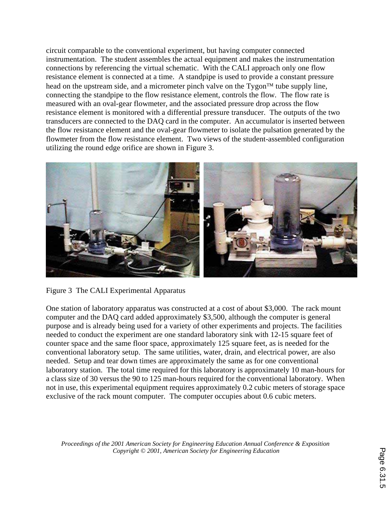circuit comparable to the conventional experiment, but having computer connected instrumentation. The student assembles the actual equipment and makes the instrumentation connections by referencing the virtual schematic. With the CALI approach only one flow resistance element is connected at a time. A standpipe is used to provide a constant pressure head on the upstream side, and a micrometer pinch valve on the  $Tyqon<sup>TM</sup>$  tube supply line, connecting the standpipe to the flow resistance element, controls the flow. The flow rate is measured with an oval-gear flowmeter, and the associated pressure drop across the flow resistance element is monitored with a differential pressure transducer. The outputs of the two transducers are connected to the DAQ card in the computer. An accumulator is inserted between the flow resistance element and the oval-gear flowmeter to isolate the pulsation generated by the flowmeter from the flow resistance element. Two views of the student-assembled configuration utilizing the round edge orifice are shown in Figure 3.



Figure 3 The CALI Experimental Apparatus

One station of laboratory apparatus was constructed at a cost of about \$3,000. The rack mount computer and the DAQ card added approximately \$3,500, although the computer is general purpose and is already being used for a variety of other experiments and projects. The facilities needed to conduct the experiment are one standard laboratory sink with 12-15 square feet of counter space and the same floor space, approximately 125 square feet, as is needed for the conventional laboratory setup. The same utilities, water, drain, and electrical power, are also needed. Setup and tear down times are approximately the same as for one conventional laboratory station. The total time required for this laboratory is approximately 10 man-hours for a class size of 30 versus the 90 to 125 man-hours required for the conventional laboratory. When not in use, this experimental equipment requires approximately 0.2 cubic meters of storage space exclusive of the rack mount computer. The computer occupies about 0.6 cubic meters.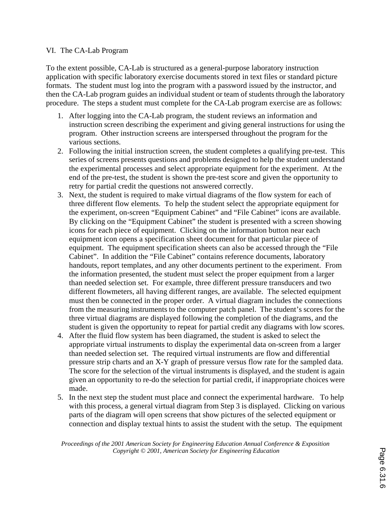### VI. The CA-Lab Program

To the extent possible, CA-Lab is structured as a general-purpose laboratory instruction application with specific laboratory exercise documents stored in text files or standard picture formats. The student must log into the program with a password issued by the instructor, and then the CA-Lab program guides an individual student or team of students through the laboratory procedure. The steps a student must complete for the CA-Lab program exercise are as follows:

- 1. After logging into the CA-Lab program, the student reviews an information and instruction screen describing the experiment and giving general instructions for using the program. Other instruction screens are interspersed throughout the program for the various sections.
- 2. Following the initial instruction screen, the student completes a qualifying pre-test. This series of screens presents questions and problems designed to help the student understand the experimental processes and select appropriate equipment for the experiment. At the end of the pre-test, the student is shown the pre-test score and given the opportunity to retry for partial credit the questions not answered correctly.
- 3. Next, the student is required to make virtual diagrams of the flow system for each of three different flow elements. To help the student select the appropriate equipment for the experiment, on-screen "Equipment Cabinet" and "File Cabinet" icons are available. By clicking on the "Equipment Cabinet" the student is presented with a screen showing icons for each piece of equipment. Clicking on the information button near each equipment icon opens a specification sheet document for that particular piece of equipment. The equipment specification sheets can also be accessed through the "File Cabinet". In addition the "File Cabinet" contains reference documents, laboratory handouts, report templates, and any other documents pertinent to the experiment. From the information presented, the student must select the proper equipment from a larger than needed selection set. For example, three different pressure transducers and two different flowmeters, all having different ranges, are available. The selected equipment must then be connected in the proper order. A virtual diagram includes the connections from the measuring instruments to the computer patch panel. The student's scores for the three virtual diagrams are displayed following the completion of the diagrams, and the student is given the opportunity to repeat for partial credit any diagrams with low scores.
- 4. After the fluid flow system has been diagramed, the student is asked to select the appropriate virtual instruments to display the experimental data on-screen from a larger than needed selection set. The required virtual instruments are flow and differential pressure strip charts and an X-Y graph of pressure versus flow rate for the sampled data. The score for the selection of the virtual instruments is displayed, and the student is again given an opportunity to re-do the selection for partial credit, if inappropriate choices were made.
- 5. In the next step the student must place and connect the experimental hardware. To help with this process, a general virtual diagram from Step 3 is displayed. Clicking on various parts of the diagram will open screens that show pictures of the selected equipment or connection and display textual hints to assist the student with the setup. The equipment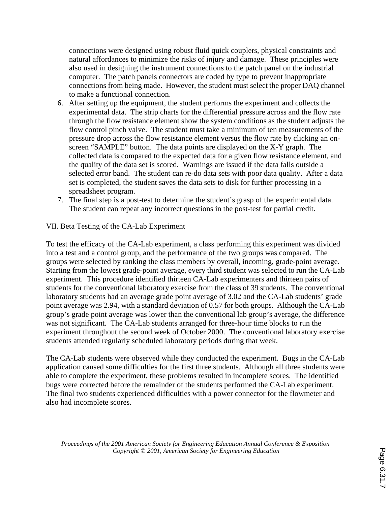connections were designed using robust fluid quick couplers, physical constraints and natural affordances to minimize the risks of injury and damage. These principles were also used in designing the instrument connections to the patch panel on the industrial computer. The patch panels connectors are coded by type to prevent inappropriate connections from being made. However, the student must select the proper DAQ channel to make a functional connection.

- 6. After setting up the equipment, the student performs the experiment and collects the experimental data. The strip charts for the differential pressure across and the flow rate through the flow resistance element show the system conditions as the student adjusts the flow control pinch valve. The student must take a minimum of ten measurements of the pressure drop across the flow resistance element versus the flow rate by clicking an onscreen "SAMPLE" button. The data points are displayed on the X-Y graph. The collected data is compared to the expected data for a given flow resistance element, and the quality of the data set is scored. Warnings are issued if the data falls outside a selected error band. The student can re-do data sets with poor data quality. After a data set is completed, the student saves the data sets to disk for further processing in a spreadsheet program.
- 7. The final step is a post-test to determine the student's grasp of the experimental data. The student can repeat any incorrect questions in the post-test for partial credit.

VII. Beta Testing of the CA-Lab Experiment

To test the efficacy of the CA-Lab experiment, a class performing this experiment was divided into a test and a control group, and the performance of the two groups was compared. The groups were selected by ranking the class members by overall, incoming, grade-point average. Starting from the lowest grade-point average, every third student was selected to run the CA-Lab experiment. This procedure identified thirteen CA-Lab experimenters and thirteen pairs of students for the conventional laboratory exercise from the class of 39 students. The conventional laboratory students had an average grade point average of 3.02 and the CA-Lab students' grade point average was 2.94, with a standard deviation of 0.57 for both groups. Although the CA-Lab group's grade point average was lower than the conventional lab group's average, the difference was not significant. The CA-Lab students arranged for three-hour time blocks to run the experiment throughout the second week of October 2000. The conventional laboratory exercise students attended regularly scheduled laboratory periods during that week.

The CA-Lab students were observed while they conducted the experiment. Bugs in the CA-Lab application caused some difficulties for the first three students. Although all three students were able to complete the experiment, these problems resulted in incomplete scores. The identified bugs were corrected before the remainder of the students performed the CA-Lab experiment. The final two students experienced difficulties with a power connector for the flowmeter and also had incomplete scores.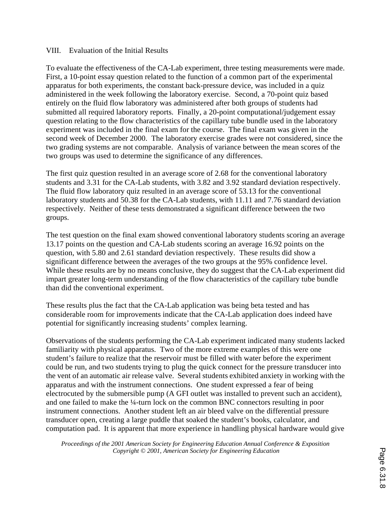### VIII. Evaluation of the Initial Results

To evaluate the effectiveness of the CA-Lab experiment, three testing measurements were made. First, a 10-point essay question related to the function of a common part of the experimental apparatus for both experiments, the constant back-pressure device, was included in a quiz administered in the week following the laboratory exercise. Second, a 70-point quiz based entirely on the fluid flow laboratory was administered after both groups of students had submitted all required laboratory reports. Finally, a 20-point computational/judgement essay question relating to the flow characteristics of the capillary tube bundle used in the laboratory experiment was included in the final exam for the course. The final exam was given in the second week of December 2000. The laboratory exercise grades were not considered, since the two grading systems are not comparable. Analysis of variance between the mean scores of the two groups was used to determine the significance of any differences.

The first quiz question resulted in an average score of 2.68 for the conventional laboratory students and 3.31 for the CA-Lab students, with 3.82 and 3.92 standard deviation respectively. The fluid flow laboratory quiz resulted in an average score of 53.13 for the conventional laboratory students and 50.38 for the CA-Lab students, with 11.11 and 7.76 standard deviation respectively. Neither of these tests demonstrated a significant difference between the two groups.

The test question on the final exam showed conventional laboratory students scoring an average 13.17 points on the question and CA-Lab students scoring an average 16.92 points on the question, with 5.80 and 2.61 standard deviation respectively. These results did show a significant difference between the averages of the two groups at the 95% confidence level. While these results are by no means conclusive, they do suggest that the CA-Lab experiment did impart greater long-term understanding of the flow characteristics of the capillary tube bundle than did the conventional experiment.

These results plus the fact that the CA-Lab application was being beta tested and has considerable room for improvements indicate that the CA-Lab application does indeed have potential for significantly increasing students' complex learning.

Observations of the students performing the CA-Lab experiment indicated many students lacked familiarity with physical apparatus. Two of the more extreme examples of this were one student's failure to realize that the reservoir must be filled with water before the experiment could be run, and two students trying to plug the quick connect for the pressure transducer into the vent of an automatic air release valve. Several students exhibited anxiety in working with the apparatus and with the instrument connections. One student expressed a fear of being electrocuted by the submersible pump (A GFI outlet was installed to prevent such an accident), and one failed to make the ¼-turn lock on the common BNC connectors resulting in poor instrument connections. Another student left an air bleed valve on the differential pressure transducer open, creating a large puddle that soaked the student's books, calculator, and computation pad. It is apparent that more experience in handling physical hardware would give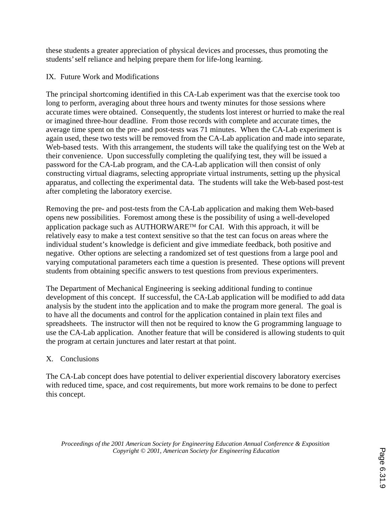these students a greater appreciation of physical devices and processes, thus promoting the students' self reliance and helping prepare them for life-long learning.

## IX. Future Work and Modifications

The principal shortcoming identified in this CA-Lab experiment was that the exercise took too long to perform, averaging about three hours and twenty minutes for those sessions where accurate times were obtained. Consequently, the students lost interest or hurried to make the real or imagined three-hour deadline. From those records with complete and accurate times, the average time spent on the pre- and post-tests was 71 minutes. When the CA-Lab experiment is again used, these two tests will be removed from the CA-Lab application and made into separate, Web-based tests. With this arrangement, the students will take the qualifying test on the Web at their convenience. Upon successfully completing the qualifying test, they will be issued a password for the CA-Lab program, and the CA-Lab application will then consist of only constructing virtual diagrams, selecting appropriate virtual instruments, setting up the physical apparatus, and collecting the experimental data. The students will take the Web-based post-test after completing the laboratory exercise.

Removing the pre- and post-tests from the CA-Lab application and making them Web-based opens new possibilities. Foremost among these is the possibility of using a well-developed application package such as AUTHORWARE<sup>TM</sup> for CAI. With this approach, it will be relatively easy to make a test context sensitive so that the test can focus on areas where the individual student's knowledge is deficient and give immediate feedback, both positive and negative. Other options are selecting a randomized set of test questions from a large pool and varying computational parameters each time a question is presented. These options will prevent students from obtaining specific answers to test questions from previous experimenters.

The Department of Mechanical Engineering is seeking additional funding to continue development of this concept. If successful, the CA-Lab application will be modified to add data analysis by the student into the application and to make the program more general. The goal is to have all the documents and control for the application contained in plain text files and spreadsheets. The instructor will then not be required to know the G programming language to use the CA-Lab application. Another feature that will be considered is allowing students to quit the program at certain junctures and later restart at that point.

### X. Conclusions

The CA-Lab concept does have potential to deliver experiential discovery laboratory exercises with reduced time, space, and cost requirements, but more work remains to be done to perfect this concept.